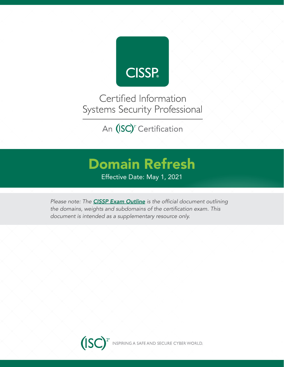

Certified Information Systems Security Professional

An (ISC)<sup>2</sup> Certification

# Domain Refresh

Effective Date: May 1, 2021

*Please note: The CISSP Exam Outline* is the official document outlining the domains, weights and subdomains of the certification exam. This document is intended as a supplementary resource only.

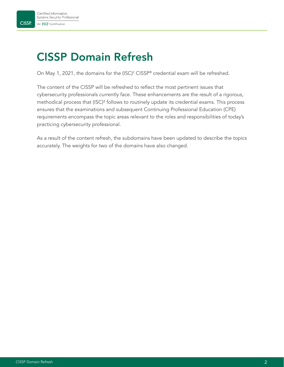# CISSP Domain Refresh

On May 1, 2021, the domains for the (ISC)<sup>2</sup> CISSP® credential exam will be refreshed.

The content of the CISSP will be refreshed to reflect the most pertinent issues that cybersecurity professionals currently face. These enhancements are the result of a rigorous, methodical process that (ISC)² follows to routinely update its credential exams. This process ensures that the examinations and subsequent Continuing Professional Education (CPE) requirements encompass the topic areas relevant to the roles and responsibilities of today's practicing cybersecurity professional.

As a result of the content refresh, the subdomains have been updated to describe the topics accurately. The weights for two of the domains have also changed.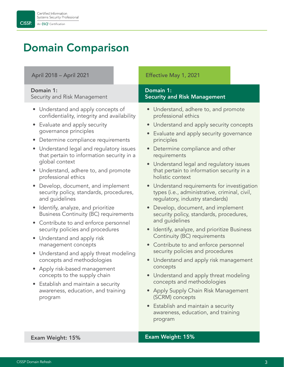**CISSP** 

# Domain Comparison

April 2018 – April 2021 Effective May 1, 2021

### Domain 1:

Security and Risk Management

- Understand and apply concepts of confidentiality, integrity and availability
- Evaluate and apply security governance principles
- Determine compliance requirements
- Understand legal and regulatory issues that pertain to information security in a global context
- Understand, adhere to, and promote professional ethics
- Develop, document, and implement security policy, standards, procedures, and guidelines
- Identify, analyze, and prioritize Business Continuity (BC) requirements
- Contribute to and enforce personnel security policies and procedures
- Understand and apply risk management concepts
- Understand and apply threat modeling concepts and methodologies
- Apply risk-based management concepts to the supply chain
- Establish and maintain a security awareness, education, and training program

#### Domain 1: Security and Risk Management

- Understand, adhere to, and promote professional ethics
- Understand and apply security concepts
- Evaluate and apply security governance principles
- Determine compliance and other requirements
- Understand legal and regulatory issues that pertain to information security in a holistic context
- Understand requirements for investigation types (i.e., administrative, criminal, civil, regulatory, industry standards)
- Develop, document, and implement security policy, standards, procedures, and guidelines
- Identify, analyze, and prioritize Business Continuity (BC) requirements
- Contribute to and enforce personnel security policies and procedures
- Understand and apply risk management concepts
- Understand and apply threat modeling concepts and methodologies
- Apply Supply Chain Risk Management (SCRM) concepts
- Establish and maintain a security awareness, education, and training program

### Exam Weight: 15% Exam Weight: 15%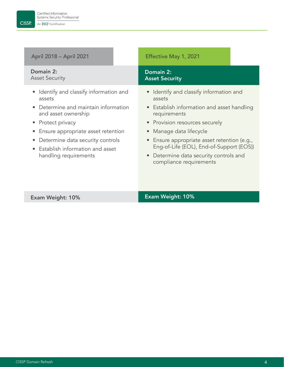**CISSP** 

| April 2018 – April 2021                                                                                                                                                                                                                                                 | Effective May 1, 2021                                                                                                                                                                                                                                                                                                                      |
|-------------------------------------------------------------------------------------------------------------------------------------------------------------------------------------------------------------------------------------------------------------------------|--------------------------------------------------------------------------------------------------------------------------------------------------------------------------------------------------------------------------------------------------------------------------------------------------------------------------------------------|
| Domain 2:<br><b>Asset Security</b>                                                                                                                                                                                                                                      | Domain 2:<br><b>Asset Security</b>                                                                                                                                                                                                                                                                                                         |
| Identify and classify information and<br>assets<br>Determine and maintain information<br>and asset ownership<br>• Protect privacy<br>Ensure appropriate asset retention<br>Determine data security controls<br>Establish information and asset<br>handling requirements | • Identify and classify information and<br>assets<br>• Establish information and asset handling<br>requirements<br>• Provision resources securely<br>Manage data lifecycle<br>• Ensure appropriate asset retention (e.g.,<br>Eng-of-Life (EOL), End-of-Support (EOS))<br>• Determine data security controls and<br>compliance requirements |

# Exam Weight: 10% Exam Weight: 10%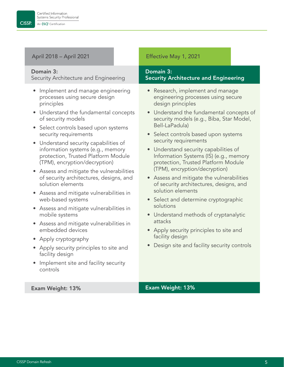### April 2018 – April 2021 Effective May 1, 2021

#### Domain 3:

**CISSP** 

Security Architecture and Engineering

- Implement and manage engineering processes using secure design principles
- Understand the fundamental concepts of security models
- Select controls based upon systems security requirements
- Understand security capabilities of information systems (e.g., memory protection, Trusted Platform Module (TPM), encryption/decryption)
- Assess and mitigate the vulnerabilities of security architectures, designs, and solution elements
- Assess and mitigate vulnerabilities in web-based systems
- Assess and mitigate vulnerabilities in mobile systems
- Assess and mitigate vulnerabilities in embedded devices
- Apply cryptography
- Apply security principles to site and facility design
- Implement site and facility security controls

#### Domain 3: Security Architecture and Engineering

- Research, implement and manage engineering processes using secure design principles
- Understand the fundamental concepts of security models (e.g., Biba, Star Model, Bell-LaPadula)
- Select controls based upon systems security requirements
- Understand security capabilities of Information Systems (IS) (e.g., memory protection, Trusted Platform Module (TPM), encryption/decryption)
- Assess and mitigate the vulnerabilities of security architectures, designs, and solution elements
- Select and determine cryptographic solutions
- Understand methods of cryptanalytic attacks
- Apply security principles to site and facility design
- Design site and facility security controls

Exam Weight: 13% Exam Weight: 13%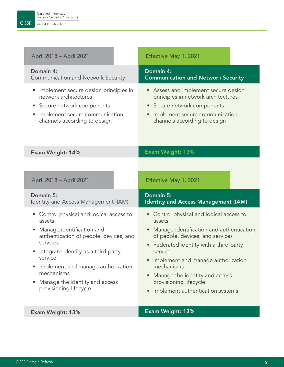

| April 2018 - April 2021                                                                                                                                                                                                                                                                                                                                   | Effective May 1, 2021                                                                                                                                                                                                                                                                                                                      |
|-----------------------------------------------------------------------------------------------------------------------------------------------------------------------------------------------------------------------------------------------------------------------------------------------------------------------------------------------------------|--------------------------------------------------------------------------------------------------------------------------------------------------------------------------------------------------------------------------------------------------------------------------------------------------------------------------------------------|
| Domain 4:<br><b>Communication and Network Security</b>                                                                                                                                                                                                                                                                                                    | Domain 4:<br><b>Communication and Network Security</b>                                                                                                                                                                                                                                                                                     |
| Implement secure design principles in<br>$\bullet$<br>network architectures<br>• Secure network components<br>Implement secure communication<br>$\bullet$<br>channels according to design                                                                                                                                                                 | • Assess and implement secure design<br>principles in network architectures<br>• Secure network components<br>• Implement secure communication<br>channels according to design                                                                                                                                                             |
| Exam Weight: 14%                                                                                                                                                                                                                                                                                                                                          | Exam Weight: 13%                                                                                                                                                                                                                                                                                                                           |
| April 2018 - April 2021<br>Domain 5:                                                                                                                                                                                                                                                                                                                      | Effective May 1, 2021<br>Domain 5:                                                                                                                                                                                                                                                                                                         |
| Identity and Access Management (IAM)                                                                                                                                                                                                                                                                                                                      | <b>Identity and Access Management (IAM)</b>                                                                                                                                                                                                                                                                                                |
| Control physical and logical access to<br>assets<br>Manage identification and<br>$\bullet$<br>authentication of people, devices, and<br>services<br>Integrate identity as a third-party<br>$\bullet$<br>service<br>Implement and manage authorization<br>$\bullet$<br>mechanisms<br>Manage the identity and access<br>$\bullet$<br>provisioning lifecycle | Control physical and logical access to<br>assets<br>Manage identification and authentication<br>of people, devices, and services<br>Federated identity with a third-party<br>service<br>Implement and manage authorization<br>mechanisms<br>• Manage the identity and access<br>provisioning lifecycle<br>Implement authentication systems |
| Exam Weight: 13%                                                                                                                                                                                                                                                                                                                                          | Exam Weight: 13%                                                                                                                                                                                                                                                                                                                           |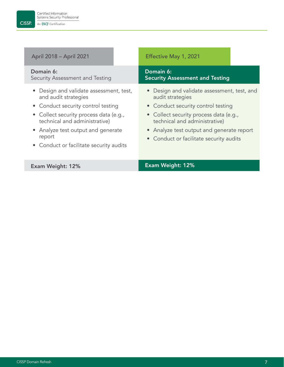### April 2018 – April 2021 Effective May 1, 2021

#### Domain 6:

Security Assessment and Testing

- Design and validate assessment, test, and audit strategies
- Conduct security control testing
- Collect security process data (e.g., technical and administrative)
- Analyze test output and generate report
- Conduct or facilitate security audits

### Domain 6: Security Assessment and Testing

- Design and validate assessment, test, and audit strategies
- Conduct security control testing
- Collect security process data (e.g., technical and administrative)
- Analyze test output and generate report
- Conduct or facilitate security audits

### Exam Weight: 12% Exam Weight: 12%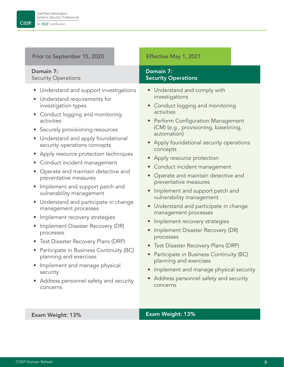### Prior to September 15, 2020 **Effective May 1, 2021**

#### Domain 7: Security Operations

- Understand and support investigations
- Understand requirements for investigation types
- Conduct logging and monitoring activities
- Securely provisioning resources
- Understand and apply foundational security operations concepts
- Apply resource protection techniques
- Conduct incident management
- Operate and maintain detective and preventative measures
- Implement and support patch and vulnerability management
- Understand and participate in change management processes
- Implement recovery strategies
- Implement Disaster Recovery (DR) processes
- Test Disaster Recovery Plans (DRP)
- Participate in Business Continuity (BC) planning and exercises
- Implement and manage physical security
- Address personnel safety and security concerns

### Domain 7: Security Operations

- Understand and comply with investigations
- Conduct logging and monitoring activities
- Perform Configuration Management (CM) (e.g., provisioning, baselining, automation)
- Apply foundational security operations concepts
- Apply resource protection
- Conduct incident management
- Operate and maintain detective and preventative measures
- Implement and support patch and vulnerability management
- Understand and participate in change management processes
- Implement recovery strategies
- Implement Disaster Recovery (DR) processes
- Test Disaster Recovery Plans (DRP)
- Participate in Business Continuity (BC) planning and exercises
- Implement and manage physical security
- Address personnel safety and security concerns

#### Exam Weight: 13% Exam Weight: 13%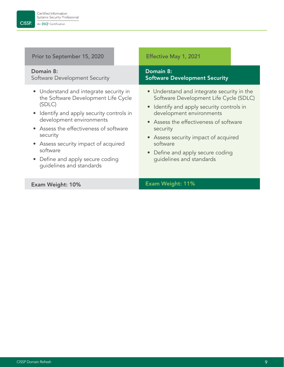| Prior to September 15, 2020                                                                                                                                                                                                                                                                                                                | Effective May 1, 2021                                                                                                                                                                                                                                                                                                                   |
|--------------------------------------------------------------------------------------------------------------------------------------------------------------------------------------------------------------------------------------------------------------------------------------------------------------------------------------------|-----------------------------------------------------------------------------------------------------------------------------------------------------------------------------------------------------------------------------------------------------------------------------------------------------------------------------------------|
| Domain 8:<br>Software Development Security                                                                                                                                                                                                                                                                                                 | Domain 8:<br><b>Software Development Security</b>                                                                                                                                                                                                                                                                                       |
| • Understand and integrate security in<br>the Software Development Life Cycle<br>(SDLC)<br>• Identify and apply security controls in<br>development environments<br>• Assess the effectiveness of software<br>security<br>• Assess security impact of acquired<br>software<br>• Define and apply secure coding<br>guidelines and standards | • Understand and integrate security in the<br>Software Development Life Cycle (SDLC)<br>• Identify and apply security controls in<br>development environments<br>• Assess the effectiveness of software<br>security<br>• Assess security impact of acquired<br>software<br>• Define and apply secure coding<br>guidelines and standards |
| <b>Exam Weight: 10%</b>                                                                                                                                                                                                                                                                                                                    | Exam Weight: 11%                                                                                                                                                                                                                                                                                                                        |